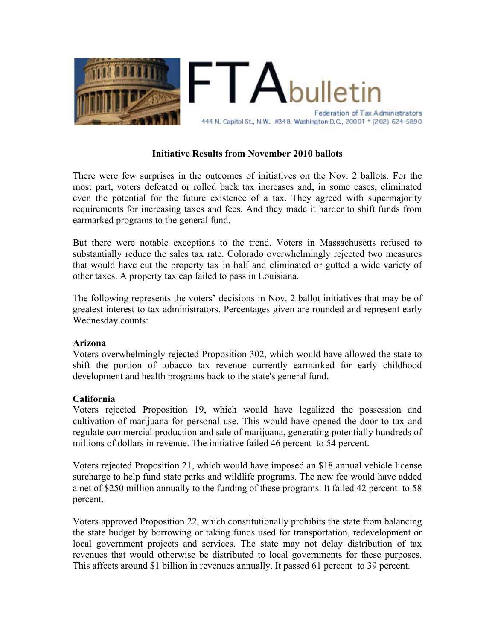

## **Initiative Results from November 2010 ballots**

There were few surprises in the outcomes of initiatives on the Nov. 2 ballots. For the most part, voters defeated or rolled back tax increases and, in some cases, eliminated even the potential for the future existence of a tax. They agreed with supermajority requirements for increasing taxes and fees. And they made it harder to shift funds from earmarked programs to the general fund.

But there were notable exceptions to the trend. Voters in Massachusetts refused to substantially reduce the sales tax rate. Colorado overwhelmingly rejected two measures that would have cut the property tax in half and eliminated or gutted a wide variety of other taxes. A property tax cap failed to pass in Louisiana.

The following represents the voters' decisions in Nov. 2 ballot initiatives that may be of greatest interest to tax administrators. Percentages given are rounded and represent early Wednesday counts:

### **Arizona**

Voters overwhelmingly rejected Proposition 302, which would have allowed the state to shift the portion of tobacco tax revenue currently earmarked for early childhood development and health programs back to the state's general fund.

### **California**

Voters rejected Proposition 19, which would have legalized the possession and cultivation of marijuana for personal use. This would have opened the door to tax and regulate commercial production and sale of marijuana, generating potentially hundreds of millions of dollars in revenue. The initiative failed 46 percent to 54 percent.

Voters rejected Proposition 21, which would have imposed an \$18 annual vehicle license surcharge to help fund state parks and wildlife programs. The new fee would have added a net of \$250 million annually to the funding of these programs. It failed 42 percent to 58 percent.

Voters approved Proposition 22, which constitutionally prohibits the state from balancing the state budget by borrowing or taking funds used for transportation, redevelopment or local government projects and services. The state may not delay distribution of tax revenues that would otherwise be distributed to local governments for these purposes. This affects around \$1 billion in revenues annually. It passed 61 percent to 39 percent.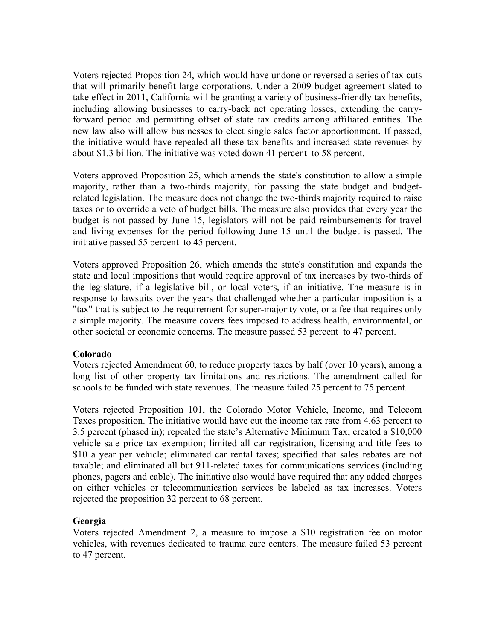Voters rejected Proposition 24, which would have undone or reversed a series of tax cuts that will primarily benefit large corporations. Under a 2009 budget agreement slated to take effect in 2011, California will be granting a variety of business-friendly tax benefits, including allowing businesses to carry-back net operating losses, extending the carryforward period and permitting offset of state tax credits among affiliated entities. The new law also will allow businesses to elect single sales factor apportionment. If passed, the initiative would have repealed all these tax benefits and increased state revenues by about \$1.3 billion. The initiative was voted down 41 percent to 58 percent.

Voters approved Proposition 25, which amends the state's constitution to allow a simple majority, rather than a two-thirds majority, for passing the state budget and budgetrelated legislation. The measure does not change the two-thirds majority required to raise taxes or to override a veto of budget bills. The measure also provides that every year the budget is not passed by June 15, legislators will not be paid reimbursements for travel and living expenses for the period following June 15 until the budget is passed. The initiative passed 55 percent to 45 percent.

Voters approved Proposition 26, which amends the state's constitution and expands the state and local impositions that would require approval of tax increases by two-thirds of the legislature, if a legislative bill, or local voters, if an initiative. The measure is in response to lawsuits over the years that challenged whether a particular imposition is a "tax" that is subject to the requirement for super-majority vote, or a fee that requires only a simple majority. The measure covers fees imposed to address health, environmental, or other societal or economic concerns. The measure passed 53 percent to 47 percent.

### **Colorado**

Voters rejected Amendment 60, to reduce property taxes by half (over 10 years), among a long list of other property tax limitations and restrictions. The amendment called for schools to be funded with state revenues. The measure failed 25 percent to 75 percent.

Voters rejected Proposition 101, the Colorado Motor Vehicle, Income, and Telecom Taxes proposition. The initiative would have cut the income tax rate from 4.63 percent to 3.5 percent (phased in); repealed the state's Alternative Minimum Tax; created a \$10,000 vehicle sale price tax exemption; limited all car registration, licensing and title fees to \$10 a year per vehicle; eliminated car rental taxes; specified that sales rebates are not taxable; and eliminated all but 911-related taxes for communications services (including phones, pagers and cable). The initiative also would have required that any added charges on either vehicles or telecommunication services be labeled as tax increases. Voters rejected the proposition 32 percent to 68 percent.

# **Georgia**

Voters rejected Amendment 2, a measure to impose a \$10 registration fee on motor vehicles, with revenues dedicated to trauma care centers. The measure failed 53 percent to 47 percent.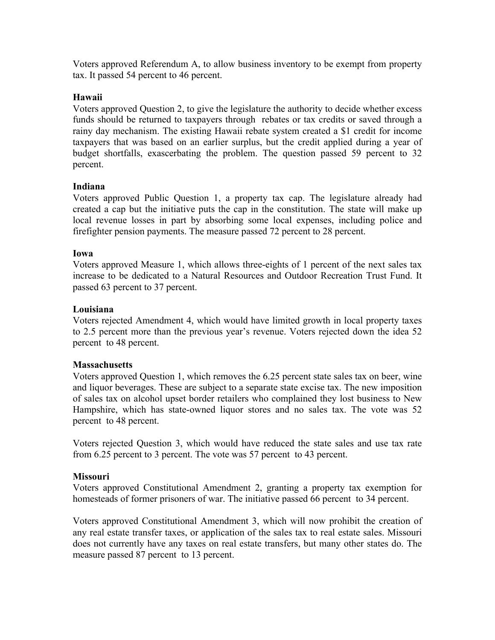Voters approved Referendum A, to allow business inventory to be exempt from property tax. It passed 54 percent to 46 percent.

## **Hawaii**

Voters approved Question 2, to give the legislature the authority to decide whether excess funds should be returned to taxpayers through rebates or tax credits or saved through a rainy day mechanism. The existing Hawaii rebate system created a \$1 credit for income taxpayers that was based on an earlier surplus, but the credit applied during a year of budget shortfalls, exascerbating the problem. The question passed 59 percent to 32 percent.

## **Indiana**

Voters approved Public Question 1, a property tax cap. The legislature already had created a cap but the initiative puts the cap in the constitution. The state will make up local revenue losses in part by absorbing some local expenses, including police and firefighter pension payments. The measure passed 72 percent to 28 percent.

## **Iowa**

Voters approved Measure 1, which allows three-eights of 1 percent of the next sales tax increase to be dedicated to a Natural Resources and Outdoor Recreation Trust Fund. It passed 63 percent to 37 percent.

### **Louisiana**

Voters rejected Amendment 4, which would have limited growth in local property taxes to 2.5 percent more than the previous year's revenue. Voters rejected down the idea 52 percent to 48 percent.

### **Massachusetts**

Voters approved Question 1, which removes the 6.25 percent state sales tax on beer, wine and liquor beverages. These are subject to a separate state excise tax. The new imposition of sales tax on alcohol upset border retailers who complained they lost business to New Hampshire, which has state-owned liquor stores and no sales tax. The vote was 52 percent to 48 percent.

Voters rejected Question 3, which would have reduced the state sales and use tax rate from 6.25 percent to 3 percent. The vote was 57 percent to 43 percent.

# **Missouri**

Voters approved Constitutional Amendment 2, granting a property tax exemption for homesteads of former prisoners of war. The initiative passed 66 percent to 34 percent.

Voters approved Constitutional Amendment 3, which will now prohibit the creation of any real estate transfer taxes, or application of the sales tax to real estate sales. Missouri does not currently have any taxes on real estate transfers, but many other states do. The measure passed 87 percent to 13 percent.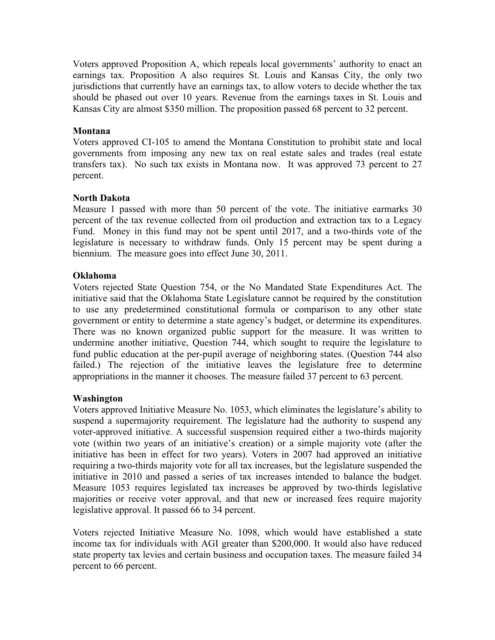Voters approved Proposition A, which repeals local governments' authority to enact an earnings tax. Proposition A also requires St. Louis and Kansas City, the only two jurisdictions that currently have an earnings tax, to allow voters to decide whether the tax should be phased out over 10 years. Revenue from the earnings taxes in St. Louis and Kansas City are almost \$350 million. The proposition passed 68 percent to 32 percent.

### **Montana**

Voters approved CI-105 to amend the Montana Constitution to prohibit state and local governments from imposing any new tax on real estate sales and trades (real estate transfers tax). No such tax exists in Montana now. It was approved 73 percent to 27 percent.

#### **North Dakota**

Measure 1 passed with more than 50 percent of the vote. The initiative earmarks 30 percent of the tax revenue collected from oil production and extraction tax to a Legacy Fund. Money in this fund may not be spent until 2017, and a two-thirds vote of the legislature is necessary to withdraw funds. Only 15 percent may be spent during a biennium. The measure goes into effect June 30, 2011.

#### **Oklahoma**

Voters rejected State Question 754, or the No Mandated State Expenditures Act. The initiative said that the Oklahoma State Legislature cannot be required by the constitution to use any predetermined constitutional formula or comparison to any other state government or entity to determine a state agency's budget, or determine its expenditures. There was no known organized public support for the measure. It was written to undermine another initiative, Question 744, which sought to require the legislature to fund public education at the per-pupil average of neighboring states. (Question 744 also failed.) The rejection of the initiative leaves the legislature free to determine appropriations in the manner it chooses. The measure failed 37 percent to 63 percent.

### **Washington**

Voters approved Initiative Measure No. 1053, which eliminates the legislature's ability to suspend a supermajority requirement. The legislature had the authority to suspend any voter-approved initiative. A successful suspension required either a two-thirds majority vote (within two years of an initiative's creation) or a simple majority vote (after the initiative has been in effect for two years). Voters in 2007 had approved an initiative requiring a two-thirds majority vote for all tax increases, but the legislature suspended the initiative in 2010 and passed a series of tax increases intended to balance the budget. Measure 1053 requires legislated tax increases be approved by two-thirds legislative majorities or receive voter approval, and that new or increased fees require majority legislative approval. It passed 66 to 34 percent.

Voters rejected Initiative Measure No. 1098, which would have established a state income tax for individuals with AGI greater than \$200,000. It would also have reduced state property tax levies and certain business and occupation taxes. The measure failed 34 percent to 66 percent.